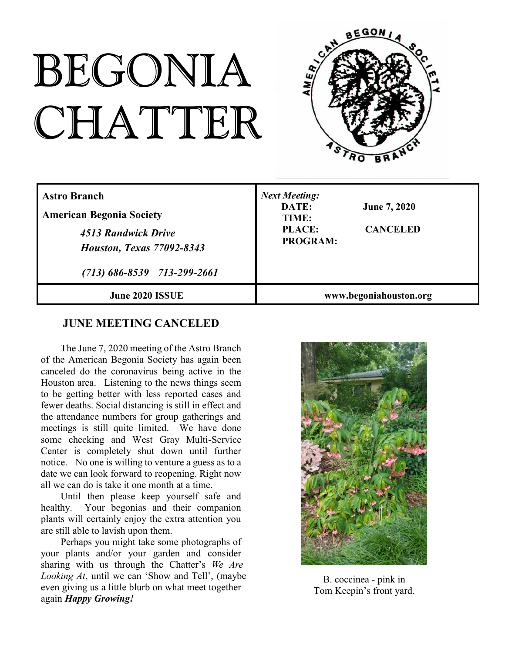# BEGONIA CHATTER



| <b>Astro Branch</b><br><b>American Begonia Society</b><br>4513 Randwick Drive<br><b>Houston, Texas 77092-8343</b><br>$(713) 686 - 8539 713 - 299 - 2661$ | <b>Next Meeting:</b><br>DATE:<br><b>June 7, 2020</b><br>TIME:<br><b>PLACE:</b><br><b>CANCELED</b><br><b>PROGRAM:</b> |
|----------------------------------------------------------------------------------------------------------------------------------------------------------|----------------------------------------------------------------------------------------------------------------------|
| <b>June 2020 ISSUE</b>                                                                                                                                   | www.begoniahouston.org                                                                                               |

# **JUNE MEETING CANCELED**

The June 7, 2020 meeting of the Astro Branch of the American Begonia Society has again been canceled do the coronavirus being active in the Houston area. Listening to the news things seem to be getting better with less reported cases and fewer deaths. Social distancing is still in effect and the attendance numbers for group gatherings and meetings is still quite limited. We have done some checking and West Gray Multi-Service Center is completely shut down until further notice. No one is willing to venture a guess as to a date we can look forward to reopening. Right now all we can do is take it one month at a time.

Until then please keep yourself safe and healthy. Your begonias and their companion plants will certainly enjoy the extra attention you are still able to lavish upon them.

Perhaps you might take some photographs of your plants and/or your garden and consider sharing with us through the Chatter's *We Are Looking At*, until we can 'Show and Tell', (maybe even giving us a little blurb on what meet together again *Happy Growing!*



B. coccinea - pink in Tom Keepin's front yard.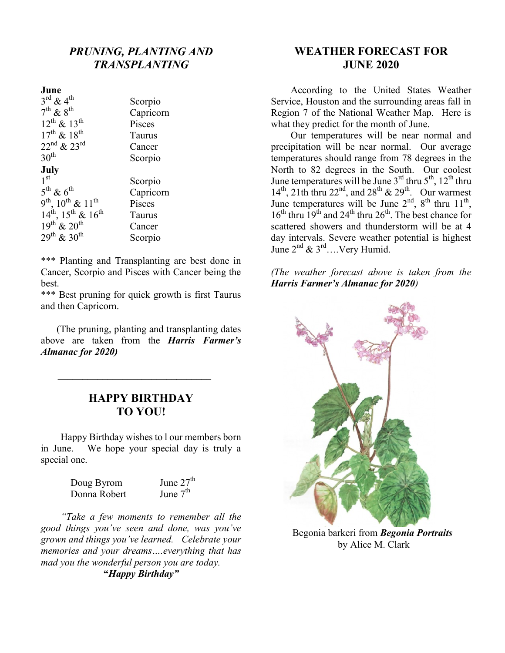# *PRUNING, PLANTING AND TRANSPLANTING*

#### **June**

| $3^{\text{rd}}$ & 4 <sup>th</sup> | Scorpio   |
|-----------------------------------|-----------|
| $7^{\text{th}}$ & $8^{\text{th}}$ | Capricorn |
| $12^{th}$ & $13^{th}$             | Pisces    |
| $17^{th}$ & $18^{th}$             | Taurus    |
| $22^{nd}$ & $23^{rd}$             | Cancer    |
| 30 <sup>th</sup>                  | Scorpio   |
| July                              |           |
| 1 <sup>st</sup>                   | Scorpio   |
| $5^{th}$ & $6^{th}$               | Capricorn |
| $9^{th}$ , $10^{th}$ & $11^{th}$  | Pisces    |
| $14^{th}$ , $15^{th}$ & $16^{th}$ | Taurus    |
| $19^{th}$ & $20^{th}$             | Cancer    |
| $29^{th}$ & $30^{th}$             | Scorpio   |
|                                   |           |

\*\*\* Planting and Transplanting are best done in Cancer, Scorpio and Pisces with Cancer being the best.

\*\*\* Best pruning for quick growth is first Taurus and then Capricorn.

(The pruning, planting and transplanting dates above are taken from the *Harris Farmer's Almanac for 2020)*

## **HAPPY BIRTHDAY TO YOU!**

**\_\_\_\_\_\_\_\_\_\_\_\_\_\_\_\_\_\_\_\_\_\_\_\_\_\_\_\_\_\_\_**

Happy Birthday wishes to l our members born in June. We hope your special day is truly a special one.

| Doug Byrom   | June $27th$ |
|--------------|-------------|
| Donna Robert | June $7th$  |

*"Take a few moments to remember all the good things you've seen and done, was you've grown and things you've learned. Celebrate your memories and your dreams….everything that has mad you the wonderful person you are today.* **"***Happy Birthday"*

# **WEATHER FORECAST FOR JUNE 2020**

According to the United States Weather Service, Houston and the surrounding areas fall in Region 7 of the National Weather Map. Here is what they predict for the month of June.

Our temperatures will be near normal and precipitation will be near normal. Our average temperatures should range from 78 degrees in the North to 82 degrees in the South. Our coolest June temperatures will be June  $3^{rd}$  thru  $5^{th}$ ,  $12^{th}$  thru  $14^{th}$ ,  $21th$  thru  $22^{nd}$ , and  $28^{th}$  &  $29^{th}$ . Our warmest June temperatures will be June  $2<sup>nd</sup>$ ,  $8<sup>th</sup>$  thru  $11<sup>th</sup>$ ,  $16<sup>th</sup>$  thru  $19<sup>th</sup>$  and  $24<sup>th</sup>$  thru  $26<sup>th</sup>$ . The best chance for scattered showers and thunderstorm will be at 4 day intervals. Severe weather potential is highest June  $2^{nd}$  &  $3^{rd}$ .... Very Humid.

*(The weather forecast above is taken from the Harris Farmer's Almanac for 2020)*



Begonia barkeri from *Begonia Portraits* by Alice M. Clark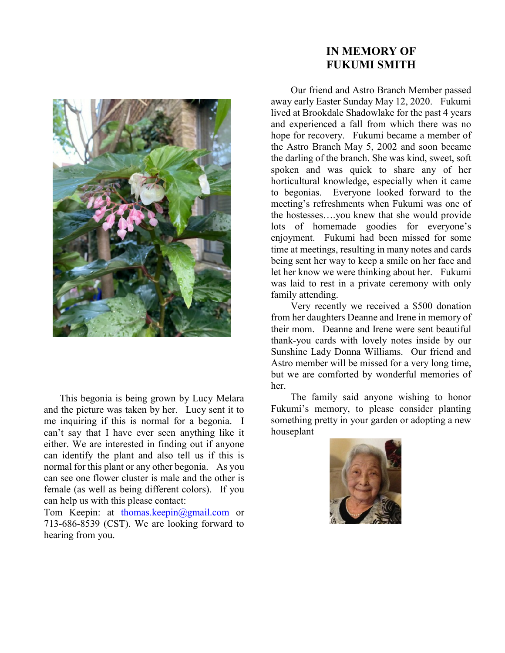

This begonia is being grown by Lucy Melara and the picture was taken by her. Lucy sent it to me inquiring if this is normal for a begonia. I can't say that I have ever seen anything like it either. We are interested in finding out if anyone can identify the plant and also tell us if this is normal for this plant or any other begonia. As you can see one flower cluster is male and the other is female (as well as being different colors). If you can help us with this please contact:

Tom Keepin: at thomas.keepin@gmail.com or 713-686-8539 (CST). We are looking forward to hearing from you.

# **IN MEMORY OF FUKUMI SMITH**

Our friend and Astro Branch Member passed away early Easter Sunday May 12, 2020. Fukumi lived at Brookdale Shadowlake for the past 4 years and experienced a fall from which there was no hope for recovery. Fukumi became a member of the Astro Branch May 5, 2002 and soon became the darling of the branch. She was kind, sweet, soft spoken and was quick to share any of her horticultural knowledge, especially when it came to begonias. Everyone looked forward to the meeting's refreshments when Fukumi was one of the hostesses….you knew that she would provide lots of homemade goodies for everyone's enjoyment. Fukumi had been missed for some time at meetings, resulting in many notes and cards being sent her way to keep a smile on her face and let her know we were thinking about her. Fukumi was laid to rest in a private ceremony with only family attending.

Very recently we received a \$500 donation from her daughters Deanne and Irene in memory of their mom. Deanne and Irene were sent beautiful thank-you cards with lovely notes inside by our Sunshine Lady Donna Williams. Our friend and Astro member will be missed for a very long time, but we are comforted by wonderful memories of her.

The family said anyone wishing to honor Fukumi's memory, to please consider planting something pretty in your garden or adopting a new houseplant